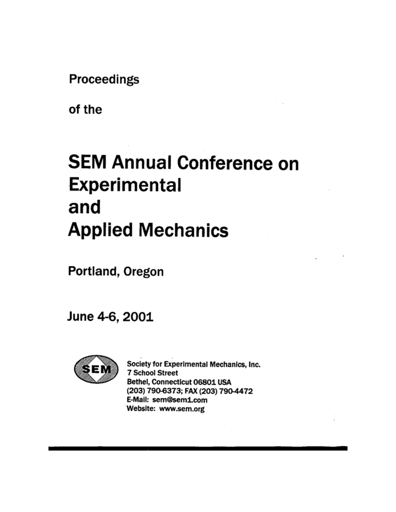Proceedings

of the

# **SEM Annual Conference on Experimental** and **Applied Mechanics**

Portland, Oregon

June 4-6, 2001



Society for Experimental Mechanics, Inc. **7 School Street** Bethel, Connecticut 06801 USA (203) 790-6373; FAX (203) 790-4472 E-Mail: sem@sem1.com Website: www.sem.org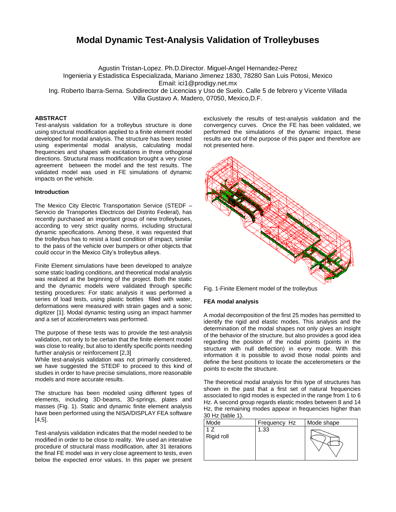## **Modal Dynamic Test-Analysis Validation of Trolleybuses**

Agustin Tristan-Lopez. Ph.D.Director. Miguel-Angel Hernandez-Perez Ingenieria y Estadistica Especializada, Mariano Jimenez 1830, 78280 San Luis Potosi, Mexico Email: ici1@prodigy.net.mx

Ing. Roberto Ibarra-Serna. Subdirector de Licencias y Uso de Suelo. Calle 5 de febrero y Vicente Villada Villa Gustavo A. Madero, 07050, Mexico,D.F.

### **ABSTRACT**

Test-analysis validation for a trolleybus structure is done using structural modification applied to a finite element model developed for modal analysis. The structure has been tested using experimental modal analysis, calculating modal frequencies and shapes with excitations in three orthogonal directions. Structural mass modification brought a very close agreement between the model and the test results. The validated model was used in FE simulations of dynamic impacts on the vehicle.

#### **Introduction**

The Mexico City Electric Transportation Service (STEDF – Servicio de Transportes Electricos del Distrito Federal), has recently purchased an important group of new trolleybuses, according to very strict quality norms, including structural dynamic specifications. Among these, it was requested that the trolleybus has to resist a load condition of impact, similar to the pass of the vehicle over bumpers or other objects that could occur in the Mexico City's trolleybus alleys.

Finite Element simulations have been developed to analyze some static loading conditions, and theoretical modal analysis was realized at the beginning of the project. Both the static and the dynamic models were validated through specific testing procedures: For static analysis it was performed a series of load tests, using plastic bottles filled with water, deformations were measured with strain gages and a sonic digitizer [1]. Modal dynamic testing using an impact hammer and a set of accelerometers was performed.

The purpose of these tests was to provide the test-analysis validation, not only to be certain that the finite element model was close to reality, but also to identify specific points needing further analysis or reinforcement [2,3]

While test-analysis validation was not primarily considered, we have suggested the STEDF to proceed to this kind of studies in order to have precise simulations, more reasonable models and more accurate results.

The structure has been modeled using different types of elements, including 3D-beams, 3D-springs, plates and masses (Fig. 1). Static and dynamic finite element analysis have been performed using the NISA/DISPLAY FEA software [4,5].

Test-analysis validation indicates that the model needed to be modified in order to be close to reality. We used an interative procedure of structural mass modification, after 31 iterations the final FE model was in very close agreement to tests, even below the expected error values. In this paper we present exclusively the results of test-analysis validation and the convergency curves. Once the FE has been validated, we performed the simulations of the dynamic impact, these results are out of the purpose of this paper and therefore are not presented here.



Fig. 1-Finite Element model of the trolleybus

#### **FEA modal analysis**

A modal decomposition of the first 25 modes has permitted to identify the rigid and elastic modes. This analysis and the determination of the modal shapes not only gives an insight of the behavior of the structure, but also provides a good idea regarding the position of the nodal points (points in the structure with null deflection) in every mode. With this information it is possible to avoid those nodal points and define the best positions to locate the accelerometers or the points to excite the structure.

The theoretical modal analysis for this type of structures has shown in the past that a first set of natural frequencies associated to rigid modes is expected in the range from 1 to 6 Hz. A second group regards elastic modes between 8 and 14 Hz, the remaining modes appear in frequencies higher than 30 Hz (table 1).

| Mode       | Frequency Hz | Mode shape |
|------------|--------------|------------|
| Rigid roll | 1.33         |            |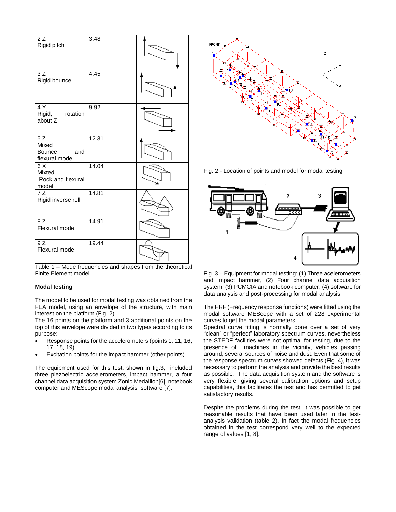| 2Z<br>Rigid pitch                                          | 3.48  |  |
|------------------------------------------------------------|-------|--|
| 3Z<br>Rigid bounce                                         | 4.45  |  |
| 4 Y<br>Rigid,<br>rotation<br>about Z                       | 9.92  |  |
| $\overline{5Z}$<br>Mixed<br>Bounce<br>and<br>flexural mode | 12.31 |  |
| 6 X<br>Mixted<br>Rock and flexural<br>model                | 14.04 |  |
| $\overline{7Z}$<br>Rigid inverse roll                      | 14.81 |  |
| 8Z<br>Flexural mode                                        | 14.91 |  |
| 9 Z<br>Flexural mode                                       | 19.44 |  |

Table 1 – Mode frequencies and shapes from the theoretical Finite Element model

#### **Modal testing**

The model to be used for modal testing was obtained from the FEA model, using an envelope of the structure, with main interest on the platform (Fig. 2).

The 16 points on the platform and 3 additional points on the top of this envelope were divided in two types according to its purpose:

- Response points for the accelerometers (points 1, 11, 16, 17, 18, 19)
- Excitation points for the impact hammer (other points)

The equipment used for this test, shown in fig.3, included three piezoelectric accelerometers, impact hammer, a four channel data acquisition system Zonic Medallion[6], notebook computer and MEScope modal analysis software [7].



Fig. 2 - Location of points and model for modal testing



Fig. 3 – Equipment for modal testing: (1) Three acelerometers and impact hammer, (2) Four channel data acquisition system, (3) PCMCIA and notebook computer, (4) software for data analysis and post-processing for modal analysis

The FRF (Frequency response functions) were fitted using the modal software MEScope with a set of 228 experimental curves to get the modal parameters.

Spectral curve fitting is normally done over a set of very "clean" or "perfect" laboratory spectrum curves, nevertheless the STEDF facilities were not optimal for testing, due to the presence of machines in the vicinity, vehicles passing around, several sources of noise and dust. Even that some of the response spectrum curves showed defects (Fig. 4), it was necessary to perform the analysis and provide the best results as possible. The data acquisition system and the software is very flexible, giving several calibration options and setup capabilities, this facilitates the test and has permitted to get satisfactory results.

Despite the problems during the test, it was possible to get reasonable results that have been used later in the testanalysis validation (table 2). In fact the modal frequencies obtained in the test correspond very well to the expected range of values [1, 8].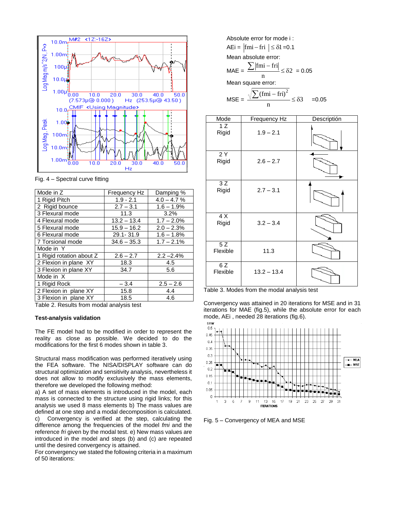

Fig. 4 – Spectral curve fitting

| Mode in Z                | Frequency Hz  | Damping %     |  |
|--------------------------|---------------|---------------|--|
| 1 Rigid Pitch            | $1.9 - 2.1$   | $4.0 - 4.7 %$ |  |
| 2 Rigid bounce           | $2.7 - 3.1$   | $1.6 - 1.9%$  |  |
| 3 Flexural mode          | 11.3          | $3.2\%$       |  |
| 4 Flexural mode          | $13.2 - 13.4$ | $1.7 - 2.0\%$ |  |
| 5 Flexural mode          | $15.9 - 16.2$ | $2.0 - 2.3%$  |  |
| 6 Flexural mode          | 29.1-31.9     | $1.6 - 1.8%$  |  |
| 7 Torsional mode         | $34.6 - 35.3$ | $1.7 - 2.1\%$ |  |
| Mode in Y                |               |               |  |
| 1 Rigid rotation about Z | $2.6 - 2.7$   | $2.2 - 2.4%$  |  |
| 2 Flexion in plane XY    | 18.3          | 4.5           |  |
| 3 Flexion in plane XY    | 34.7          | 5.6           |  |
| Mode in X                |               |               |  |
| 1 Rigid Rock             | $-3.4$        | $2.5 - 2.6$   |  |
| 2 Flexion in plane XY    | 15.8<br>4.4   |               |  |
| 3 Flexion in plane XY    | 18.5          | 4.6           |  |

Table 2. Results from modal analysis test

#### **Test-analysis validation**

The FE model had to be modified in order to represent the reality as close as possible. We decided to do the modifications for the first 6 modes shown in table 3.

Structural mass modification was performed iteratively using the FEA software. The NISA/DISPLAY software can do structural optimization and sensitivity analysis, nevertheless it does not allow to modify exclusively the mass elements, therefore we developed the following method:

a) A set of mass elements is introduced in the model, each mass is connected to the structure using rigid links; for this analysis we used 8 mass elements b) The mass values are defined at one step and a modal decomposition is calculated. c) Convergency is verified at the step, calculating the difference among the frequencies of the model *fmi* and the reference *fri* given by the modal test. e) New mass values are introduced in the model and steps (b) and (c) are repeated until the desired convergency is attained.

For convergency we stated the following criteria in a maximum of 50 iterations:

Absolute error for mode i :  $AEi = |fmi - fri| \leq \delta1 = 0.1$ Mean absolute error:  $MAE =$  $\leq \delta$ 2 = 0.05 n  $\sum |\text{fmi} - \text{fri}|$ Mean square error:  $MSE =$  $\leq \delta$ 3 n  $\sum (fmi - fri)^2$  $=0.05$ 



Table 3. Modes from the modal analysis test

Convergency was attained in 20 iterations for MSE and in 31 iterations for MAE (fig.5), while the absolute error for each mode, AEi, needed 28 iterations (fig.6).<br>Error



Fig. 5 – Convergency of MEA and MSE